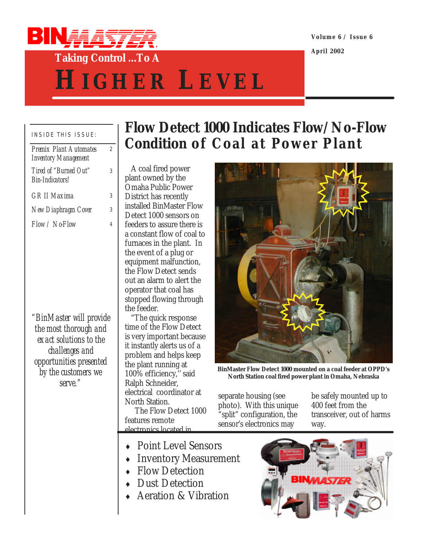

**Volume 6 / Issue 6**

**April 2002**

## **Taking Control ...To A**

# **H IGHER L EVEL**

#### INSIDE THIS ISSUE: *Premix Plant Automates*

| <i>Premix Plant Automates</i><br><b>Inventory Management</b> | 2 |
|--------------------------------------------------------------|---|
| Tired of "Burned Out"<br>Bin-Indicators!                     | 3 |
| <b>GR II Maxima</b>                                          | 3 |
| New Diaphragm Cover                                          | 3 |
| Flow / NoFlow                                                | 4 |
|                                                              |   |
| "BinMaster will provide                                      |   |
| the most thorough and<br>exact solutions to the              |   |
| challenges and                                               |   |
| opportunities presented                                      |   |
| by the customers we                                          |   |
| serve.                                                       |   |

## **Flow Detect 1000 Indicates Flow/No-Flow Condition of Coal at Power Plant**

 A coal fired power plant owned by the Omaha Public Power District has recently installed BinMaster Flow Detect 1000 sensors on feeders to assure there is a constant flow of coal to furnaces in the plant. In the event of a plug or equipment malfunction, the Flow Detect sends out an alarm to alert the operator that coal has stopped flowing through the feeder.

 "The quick response time of the Flow Detect is very important because it instantly alerts us of a problem and helps keep the plant running at 100% efficiency,'' said Ralph Schneider, electrical coordinator at North Station.

 The Flow Detect 1000 features remote electronics located in

- Point Level Sensors
- Inventory Measurement
- $\leftarrow$  Flow Detection
- Dust Detection
- $\triangle$  Aeration & Vibration



**BinMaster Flow Detect 1000 mounted on a coal feeder at OPPD's North Station coal fired power plant in Omaha, Nebraska**

separate housing (see photo). With this unique "split" configuration, the sensor's electronics may

be safely mounted up to 400 feet from the transceiver, out of harms way.

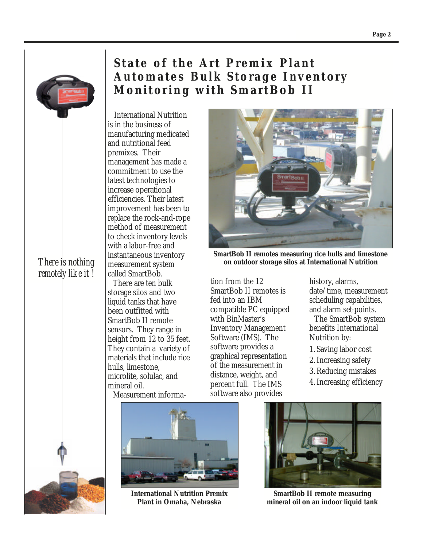

*There is nothing remotely like it !*

### **State of the Art Premix Plant Automates Bulk Storage Inventory Monitoring with SmartBob II**

 International Nutrition is in the business of manufacturing medicated and nutritional feed premixes. Their management has made a commitment to use the latest technologies to increase operational efficiencies. Their latest improvement has been to replace the rock-and-rope method of measurement to check inventory levels with a labor-free and instantaneous inventory measurement system called SmartBob. There are ten bulk storage silos and two liquid tanks that have been outfitted with SmartBob II remote sensors. They range in height from 12 to 35 feet. They contain a variety of materials that include rice hulls, limestone, microlite, solulac, and mineral oil.

Measurement informa-



**International Nutrition Premix Plant in Omaha, Nebraska**



**SmartBob II remotes measuring rice hulls and limestone on outdoor storage silos at International Nutrition** 

tion from the 12 SmartBob II remotes is fed into an IBM compatible PC equipped with BinMaster's Inventory Management Software (IMS). The software provides a graphical representation of the measurement in distance, weight, and percent full. The IMS software also provides

history, alarms, date/time, measurement scheduling capabilities, and alarm set-points.

The SmartBob system benefits International Nutrition by:

- 1. Saving labor cost
- 2.Increasing safety
- 3.Reducing mistakes
- 4.Increasing efficiency



**SmartBob II remote measuring mineral oil on an indoor liquid tank** 

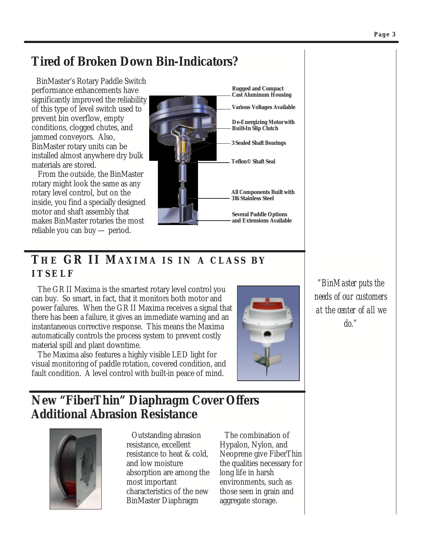#### **Tired of Broken Down Bin-Indicators?**

 BinMaster's Rotary Paddle Switch performance enhancements have significantly improved the reliability of this type of level switch used to prevent bin overflow, empty conditions, clogged chutes, and jammed conveyors. Also, BinMaster rotary units can be installed almost anywhere dry bulk materials are stored.

 From the outside, the BinMaster rotary might look the same as any rotary level control, but on the inside, you find a specially designed motor and shaft assembly that makes BinMaster rotaries the most reliable you can buy — period.



#### **TH E GR II MAXIMA I S I N A CLASS B Y ITSELF**

 The GR II Maxima is the smartest rotary level control you can buy. So smart, in fact, that it monitors both motor and power failures. When the GR II Maxima receives a signal that there has been a failure, it gives an immediate warning and an instantaneous corrective response. This means the Maxima automatically controls the process system to prevent costly material spill and plant downtime.

 The Maxima also features a highly visible LED light for visual monitoring of paddle rotation, covered condition, and fault condition. A level control with built-in peace of mind.



*"BinMaster puts the needs of our customers at the center of all we do."*

#### **New "FiberThin" Diaphragm Cover Offers Additional Abrasion Resistance**



Outstanding abrasion resistance, excellent resistance to heat & cold, and low moisture absorption are among the most important characteristics of the new BinMaster Diaphragm

The combination of Hypalon, Nylon, and Neoprene give FiberThin the qualities necessary for long life in harsh environments, such as those seen in grain and aggregate storage.